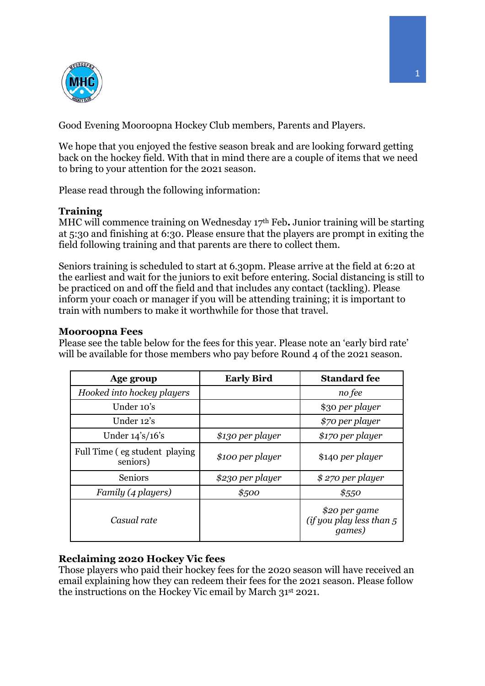

Good Evening Mooroopna Hockey Club members, Parents and Players.

We hope that you enjoyed the festive season break and are looking forward getting back on the hockey field. With that in mind there are a couple of items that we need to bring to your attention for the 2021 season.

Please read through the following information:

# **Training**

MHC will commence training on Wednesday 17th Feb**.** Junior training will be starting at 5:30 and finishing at 6:30. Please ensure that the players are prompt in exiting the field following training and that parents are there to collect them.

Seniors training is scheduled to start at 6.30pm. Please arrive at the field at 6:20 at the earliest and wait for the juniors to exit before entering. Social distancing is still to be practiced on and off the field and that includes any contact (tackling). Please inform your coach or manager if you will be attending training; it is important to train with numbers to make it worthwhile for those that travel.

## **Mooroopna Fees**

Please see the table below for the fees for this year. Please note an 'early bird rate' will be available for those members who pay before Round 4 of the 2021 season.

| Age group                                                              | <b>Early Bird</b> | <b>Standard fee</b>                                           |
|------------------------------------------------------------------------|-------------------|---------------------------------------------------------------|
| Hooked into hockey players                                             |                   | no fee                                                        |
| Under 10's                                                             |                   | \$30 per player                                               |
| Under 12's                                                             |                   | \$70 per player                                               |
| Under $14\frac{\text{°}}{\text{°}}\frac{16\text{°}}{\text{°}}\text{s}$ | \$130 per player  | \$170 per player                                              |
| Full Time (eg student playing)<br>seniors)                             | \$100 per player  | \$140 per player                                              |
| <b>Seniors</b>                                                         | \$230 per player  | $$270$ per player                                             |
| Family (4 players)                                                     | \$500             | \$550                                                         |
| Casual rate                                                            |                   | \$20 per game<br>(if you play less than $5$<br><i>games</i> ) |

# **Reclaiming 2020 Hockey Vic fees**

Those players who paid their hockey fees for the 2020 season will have received an email explaining how they can redeem their fees for the 2021 season. Please follow the instructions on the Hockey Vic email by March 31st 2021.